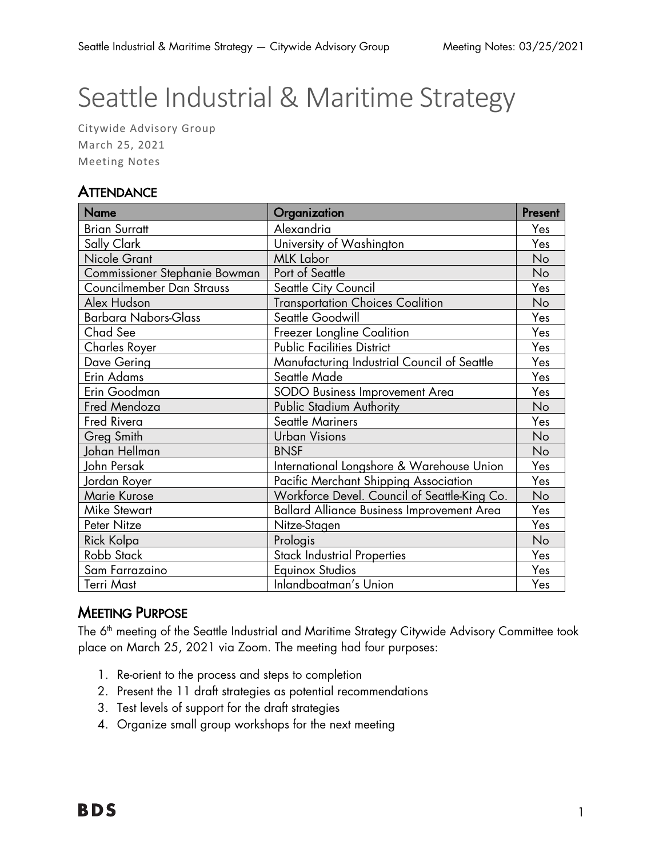# Seattle Industrial & Maritime Strategy

Citywide Advisory Group March 25, 2021 Meeting Notes

## **ATTENDANCE**

| <b>Name</b>                   | Organization                                      | Present   |
|-------------------------------|---------------------------------------------------|-----------|
| <b>Brian Surratt</b>          | Alexandria                                        | Yes       |
| Sally Clark                   | University of Washington                          | Yes       |
| Nicole Grant                  | <b>MLK Labor</b>                                  | No        |
| Commissioner Stephanie Bowman | Port of Seattle                                   | No        |
| Councilmember Dan Strauss     | Seattle City Council                              | Yes       |
| Alex Hudson                   | <b>Transportation Choices Coalition</b>           | No        |
| <b>Barbara Nabors-Glass</b>   | Seattle Goodwill                                  | Yes       |
| Chad See                      | Freezer Longline Coalition                        | Yes       |
| Charles Royer                 | <b>Public Facilities District</b>                 | Yes       |
| Dave Gering                   | Manufacturing Industrial Council of Seattle       | Yes       |
| Erin Adams                    | Seattle Made                                      | Yes       |
| Erin Goodman                  | SODO Business Improvement Area                    | Yes       |
| Fred Mendoza                  | Public Stadium Authority                          | No        |
| Fred Rivera                   | Seattle Mariners                                  | Yes       |
| Greg Smith                    | <b>Urban Visions</b>                              | <b>No</b> |
| Johan Hellman                 | <b>BNSF</b>                                       | No        |
| John Persak                   | International Longshore & Warehouse Union         | Yes       |
| Jordan Royer                  | Pacific Merchant Shipping Association             | Yes       |
| Marie Kurose                  | Workforce Devel. Council of Seattle-King Co.      | No        |
| <b>Mike Stewart</b>           | <b>Ballard Alliance Business Improvement Area</b> | Yes       |
| Peter Nitze                   | Nitze-Stagen                                      | Yes       |
| Rick Kolpa                    | Prologis                                          | No        |
| Robb Stack                    | <b>Stack Industrial Properties</b>                | Yes       |
| Sam Farrazaino                | <b>Equinox Studios</b>                            | Yes       |
| <b>Terri Mast</b>             | Inlandboatman's Union                             | Yes       |

## MEETING PURPOSE

The 6<sup>th</sup> meeting of the Seattle Industrial and Maritime Strategy Citywide Advisory Committee took place on March 25, 2021 via Zoom. The meeting had four purposes:

- 1. Re-orient to the process and steps to completion
- 2. Present the 11 draft strategies as potential recommendations
- 3. Test levels of support for the draft strategies
- 4. Organize small group workshops for the next meeting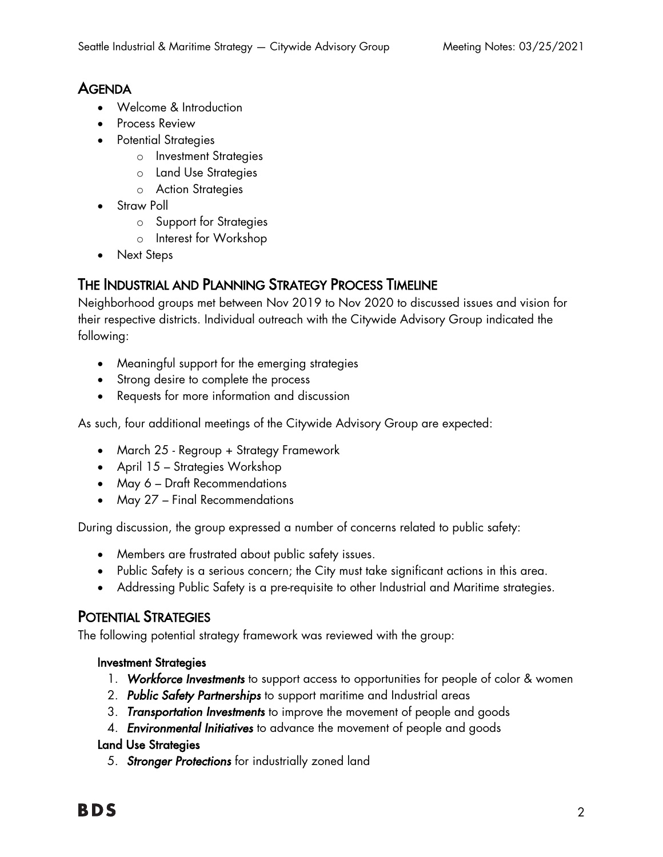## **AGENDA**

- Welcome & Introduction
- Process Review
- Potential Strategies
	- o Investment Strategies
	- o Land Use Strategies
	- o Action Strategies
- Straw Poll
	- o Support for Strategies
	- o Interest for Workshop
- Next Steps

## THE INDUSTRIAL AND PLANNING STRATEGY PROCESS TIMELINE

Neighborhood groups met between Nov 2019 to Nov 2020 to discussed issues and vision for their respective districts. Individual outreach with the Citywide Advisory Group indicated the following:

- Meaningful support for the emerging strategies
- Strong desire to complete the process
- Requests for more information and discussion

As such, four additional meetings of the Citywide Advisory Group are expected:

- March 25 Regroup + Strategy Framework
- April 15 Strategies Workshop
- May 6 Draft Recommendations
- May 27 Final Recommendations

During discussion, the group expressed a number of concerns related to public safety:

- Members are frustrated about public safety issues.
- Public Safety is a serious concern; the City must take significant actions in this area.
- Addressing Public Safety is a pre-requisite to other Industrial and Maritime strategies.

## POTENTIAL STRATEGIES

The following potential strategy framework was reviewed with the group:

#### Investment Strategies

- 1. *Workforce Investments* to support access to opportunities for people of color & women
- 2. *Public Safety Partnerships* to support maritime and Industrial areas
- 3. *Transportation Investments* to improve the movement of people and goods
- 4. *Environmental Initiatives* to advance the movement of people and goods

#### Land Use Strategies

5. *Stronger Protections* for industrially zoned land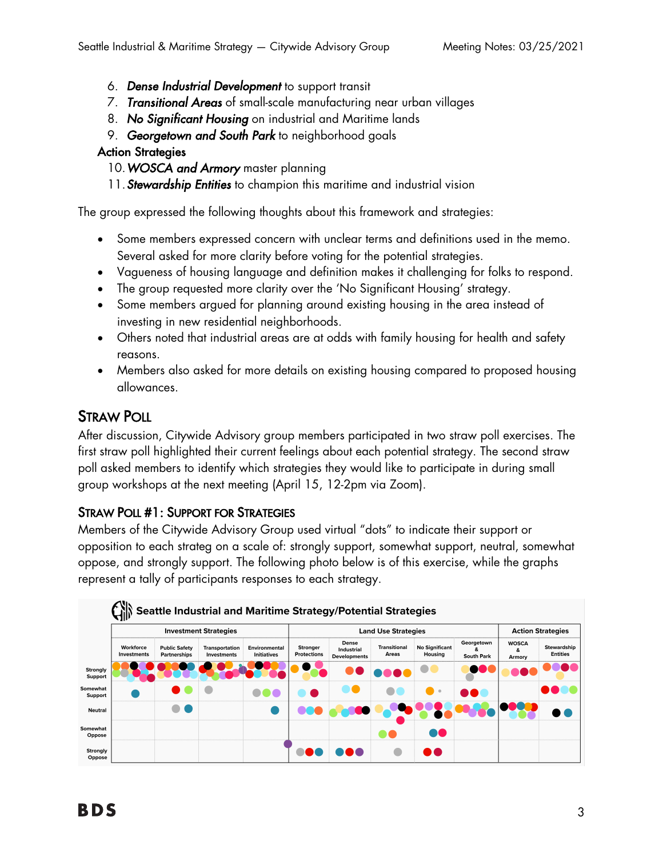- 6. *Dense Industrial Development* to support transit
- 7. *Transitional Areas* of small-scale manufacturing near urban villages
- 8. *No Significant Housing* on industrial and Maritime lands
- 9. *Georgetown and South Park* to neighborhood goals

#### Action Strategies

- 10.*WOSCA and Armory* master planning
- 11.*Stewardship Entities* to champion this maritime and industrial vision

The group expressed the following thoughts about this framework and strategies:

- Some members expressed concern with unclear terms and definitions used in the memo. Several asked for more clarity before voting for the potential strategies.
- Vagueness of housing language and definition makes it challenging for folks to respond.
- The group requested more clarity over the 'No Significant Housing' strategy.
- Some members argued for planning around existing housing in the area instead of investing in new residential neighborhoods.
- Others noted that industrial areas are at odds with family housing for health and safety reasons.
- Members also asked for more details on existing housing compared to proposed housing allowances.

## STRAW POLL

After discussion, Citywide Advisory group members participated in two straw poll exercises. The first straw poll highlighted their current feelings about each potential strategy. The second straw poll asked members to identify which strategies they would like to participate in during small group workshops at the next meeting (April 15, 12-2pm via Zoom).

## STRAW POLL #1: SUPPORT FOR STRATEGIES

Members of the Citywide Advisory Group used virtual "dots" to indicate their support or opposition to each strateg on a scale of: strongly support, somewhat support, neutral, somewhat oppose, and strongly support. The following photo below is of this exercise, while the graphs represent a tally of participants responses to each strategy.

|                     | <b>Investment Strategies</b> |                                             |                                      |                                     |                                       | <b>Land Use Strategies</b>                 | <b>Action Strategies</b>     |                                  |                                 |                             |                                       |
|---------------------|------------------------------|---------------------------------------------|--------------------------------------|-------------------------------------|---------------------------------------|--------------------------------------------|------------------------------|----------------------------------|---------------------------------|-----------------------------|---------------------------------------|
|                     | Workforce<br>Investments     | <b>Public Safety</b><br><b>Partnerships</b> | <b>Transportation</b><br>Investments | Environmental<br><b>Initiatives</b> | <b>Stronger</b><br><b>Protections</b> | Dense<br>Industrial<br><b>Developments</b> | <b>Transitional</b><br>Areas | <b>No Significant</b><br>Housing | Georgetown<br><b>South Park</b> | <b>WOSCA</b><br>&<br>Armory | <b>Stewardship</b><br><b>Entities</b> |
| Strongly<br>Support |                              |                                             |                                      |                                     |                                       |                                            |                              |                                  |                                 |                             |                                       |
| Somewhat<br>Support |                              |                                             |                                      |                                     |                                       |                                            |                              |                                  | <b>DOL</b>                      |                             |                                       |
| Neutral             |                              |                                             |                                      |                                     |                                       |                                            |                              |                                  |                                 |                             |                                       |
| Somewhat<br>Oppose  |                              |                                             |                                      |                                     |                                       |                                            |                              | o0                               |                                 |                             |                                       |
| Strongly<br>Oppose  |                              |                                             |                                      |                                     |                                       |                                            |                              | a de la                          |                                 |                             |                                       |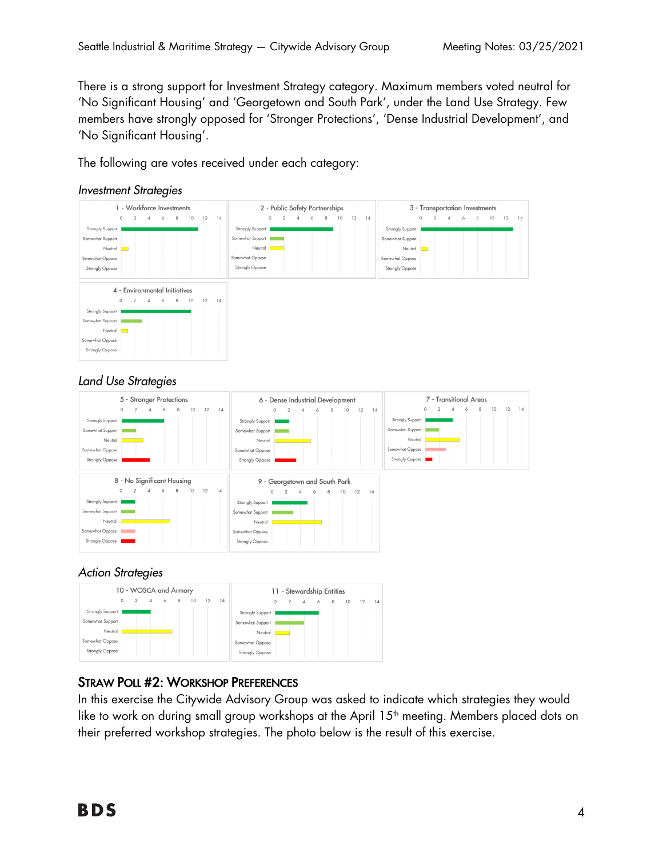There is a strong support for Investment Strategy category. Maximum members voted neutral for 'No Significant Housing' and 'Georgetown and South Park', under the Land Use Strategy. Few members have strongly opposed for 'Stronger Protections', 'Dense Industrial Development', and 'No Significant Housing'.

The following are votes received under each category:





#### *Land Use Strategies*



#### *Action Strategies*



## STRAW POLL #2: WORKSHOP PREFERENCES

In this exercise the Citywide Advisory Group was asked to indicate which strategies they would like to work on during small group workshops at the April 15<sup>th</sup> meeting. Members placed dots on their preferred workshop strategies. The photo below is the result of this exercise.